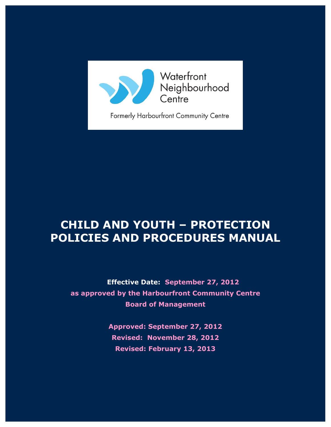

Waterfront Neighbourhood<br>Centre

Formerly Harbourfront Community Centre

# <span id="page-0-0"></span>**CHILD AND YOUTH – PROTECTION POLICIES AND PROCEDURES MANUAL**

**Effective Date: September 27, 2012 as approved by the Harbourfront Community Centre Board of Management**

> **Approved: September 27, 2012 Revised: November 28, 2012 Revised: February 13, 2013**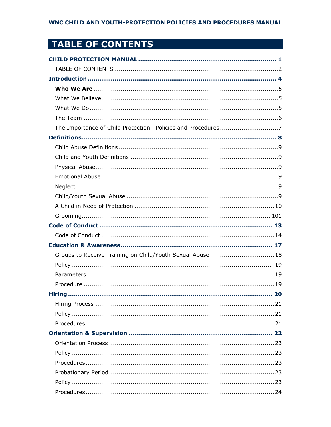## <span id="page-1-0"></span>TABLE OF CONTENTS

| Groups to Receive Training on Child/Youth Sexual Abuse  18 |
|------------------------------------------------------------|
|                                                            |
|                                                            |
|                                                            |
| <b>Hirina</b><br>20                                        |
|                                                            |
|                                                            |
|                                                            |
|                                                            |
|                                                            |
|                                                            |
|                                                            |
|                                                            |
|                                                            |
|                                                            |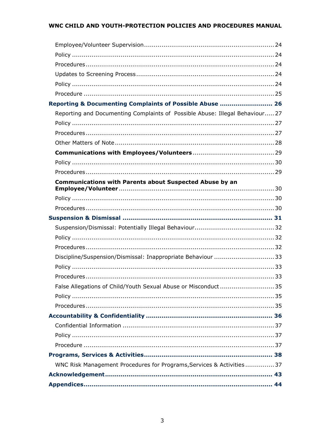| Reporting & Documenting Complaints of Possible Abuse  26                    |  |
|-----------------------------------------------------------------------------|--|
| Reporting and Documenting Complaints of Possible Abuse: Illegal Behaviour27 |  |
|                                                                             |  |
|                                                                             |  |
|                                                                             |  |
|                                                                             |  |
|                                                                             |  |
|                                                                             |  |
| <b>Communications with Parents about Suspected Abuse by an</b>              |  |
|                                                                             |  |
|                                                                             |  |
|                                                                             |  |
|                                                                             |  |
|                                                                             |  |
|                                                                             |  |
|                                                                             |  |
| Discipline/Suspension/Dismissal: Inappropriate Behaviour 33                 |  |
|                                                                             |  |
|                                                                             |  |
| False Allegations of Child/Youth Sexual Abuse or Misconduct35               |  |
|                                                                             |  |
|                                                                             |  |
|                                                                             |  |
|                                                                             |  |
|                                                                             |  |
|                                                                             |  |
|                                                                             |  |
| WNC Risk Management Procedures for Programs, Services & Activities  37      |  |
|                                                                             |  |
|                                                                             |  |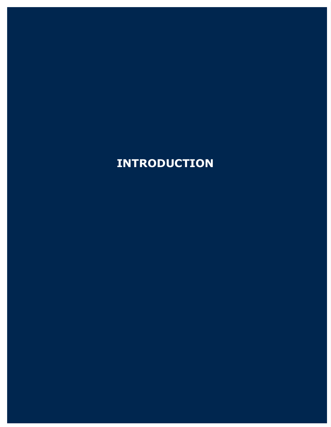# <span id="page-3-0"></span>**INTRODUCTION**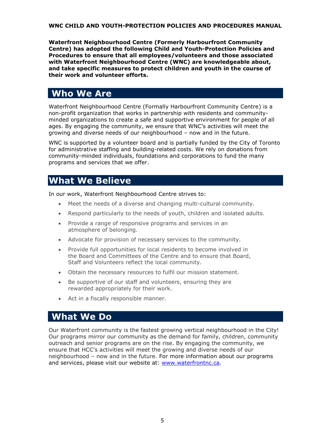**Waterfront Neighbourhood Centre (Formerly Harbourfront Community Centre) has adopted the following Child and Youth-Protection Policies and Procedures to ensure that all employees/volunteers and those associated with Waterfront Neighbourhood Centre (WNC) are knowledgeable about, and take specific measures to protect children and youth in the course of their work and volunteer efforts.**

## <span id="page-4-0"></span>**Who We Are**

Waterfront Neighbourhood Centre (Formally Harbourfront Community Centre) is a non-profit organization that works in partnership with residents and communityminded organizations to create a safe and supportive environment for people of all ages. By engaging the community, we ensure that WNC's activities will meet the growing and diverse needs of our neighbourhood – now and in the future.

WNC is supported by a volunteer board and is partially funded by the City of Toronto for administrative staffing and building-related costs. We rely on donations from community-minded individuals, foundations and corporations to fund the many programs and services that we offer.

### <span id="page-4-1"></span>**What We Believe**

In our work, Waterfront Neighbourhood Centre strives to:

- Meet the needs of a diverse and changing multi-cultural community.
- Respond particularly to the needs of youth, children and isolated adults.
- Provide a range of responsive programs and services in an atmosphere of belonging.
- Advocate for provision of necessary services to the community.
- Provide full opportunities for local residents to become involved in the Board and Committees of the Centre and to ensure that Board, Staff and Volunteers reflect the local community.
- Obtain the necessary resources to fulfil our mission statement.
- Be supportive of our staff and volunteers, ensuring they are rewarded appropriately for their work.
- Act in a fiscally responsible manner.

### <span id="page-4-2"></span>**What We Do**

Our Waterfront community is the fastest growing vertical neighbourhood in the City! Our programs mirror our community as the demand for family, children, community outreach and senior programs are on the rise. By engaging the community, we ensure that HCC's activities will meet the growing and diverse needs of our neighbourhood – now and in the future. For more information about our programs and services, please visit our website at: [www.waterfrontnc.ca.](http://www.waterfrontnc.ca/)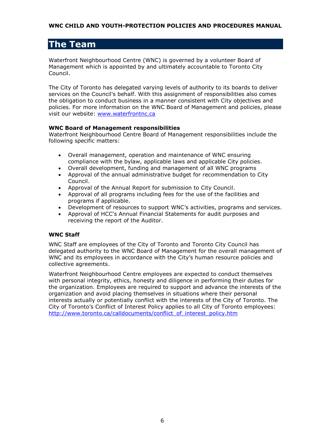## <span id="page-5-0"></span>**The Team**

Waterfront Neighbourhood Centre (WNC) is governed by a volunteer Board of Management which is appointed by and ultimately accountable to Toronto City Council.

The City of Toronto has delegated varying levels of authority to its boards to deliver services on the Council's behalf. With this assignment of responsibilities also comes the obligation to conduct business in a manner consistent with City objectives and policies. For more information on the WNC Board of Management and policies, please visit our website: [www.waterfrontnc.ca](http://www.waterfrontnc.ca/)

#### **WNC Board of Management responsibilities**

Waterfront Neighbourhood Centre Board of Management responsibilities include the following specific matters:

- Overall management, operation and maintenance of WNC ensuring compliance with the bylaw, applicable laws and applicable City policies.
- Overall development, funding and management of all WNC programs
- Approval of the annual administrative budget for recommendation to City Council.
- Approval of the Annual Report for submission to City Council.
- Approval of all programs including fees for the use of the facilities and programs if applicable.
- Development of resources to support WNC's activities, programs and services.
- Approval of HCC's Annual Financial Statements for audit purposes and receiving the report of the Auditor.

#### **WNC Staff**

WNC Staff are employees of the City of Toronto and Toronto City Council has delegated authority to the WNC Board of Management for the overall management of WNC and its employees in accordance with the City's human resource policies and collective agreements.

Waterfront Neighbourhood Centre employees are expected to conduct themselves with personal integrity, ethics, honesty and diligence in performing their duties for the organization. Employees are required to support and advance the interests of the organization and avoid placing themselves in situations where their personal interests actually or potentially conflict with the interests of the City of Toronto. The City of Toronto's Conflict of Interest Policy applies to all City of Toronto employees: [http://www.toronto.ca/calldocuments/conflict\\_of\\_interest\\_policy.htm](http://www.toronto.ca/calldocuments/conflict_of_interest_policy.htm)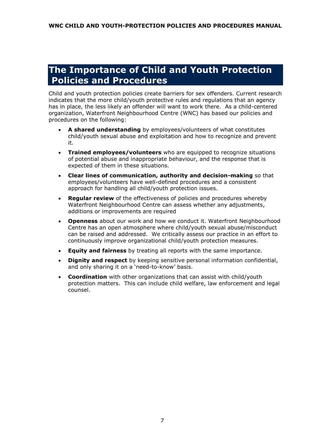## <span id="page-6-0"></span>**The Importance of Child and Youth Protection Policies and Procedures**

Child and youth protection policies create barriers for sex offenders. Current research indicates that the more child/youth protective rules and regulations that an agency has in place, the less likely an offender will want to work there. As a child-centered organization, Waterfront Neighbourhood Centre (WNC) has based our policies and procedures on the following:

- **A shared understanding** by employees/volunteers of what constitutes child/youth sexual abuse and exploitation and how to recognize and prevent it.
- **Trained employees/volunteers** who are equipped to recognize situations of potential abuse and inappropriate behaviour, and the response that is expected of them in these situations.
- **Clear lines of communication, authority and decision-making** so that employees/volunteers have well-defined procedures and a consistent approach for handling all child/youth protection issues.
- **Regular review** of the effectiveness of policies and procedures whereby Waterfront Neighbourhood Centre can assess whether any adjustments, additions or improvements are required
- **Openness** about our work and how we conduct it. Waterfront Neighbourhood Centre has an open atmosphere where child/youth sexual abuse/misconduct can be raised and addressed. We critically assess our practice in an effort to continuously improve organizational child/youth protection measures.
- **Equity and fairness** by treating all reports with the same importance.
- **Dignity and respect** by keeping sensitive personal information confidential, and only sharing it on a 'need-to-know' basis.
- **Coordination** with other organizations that can assist with child/youth protection matters. This can include child welfare, law enforcement and legal counsel.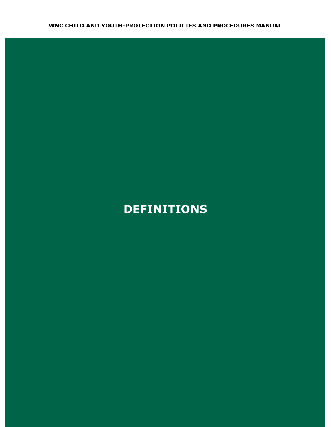# <span id="page-7-0"></span>**DEFINITIONS**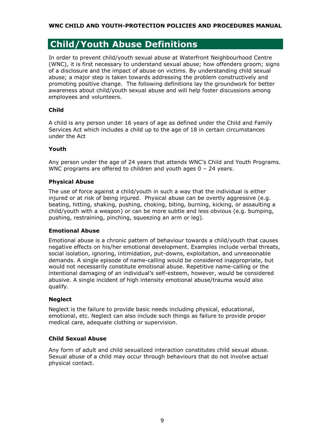### <span id="page-8-0"></span>**Child/Youth Abuse Definitions**

In order to prevent child/youth sexual abuse at Waterfront Neighbourhood Centre (WNC), it is first necessary to understand sexual abuse; how offenders groom; signs of a disclosure and the impact of abuse on victims. By understanding child sexual abuse; a major step is taken towards addressing the problem constructively and promoting positive change. The following definitions lay the groundwork for better awareness about child/youth sexual abuse and will help foster discussions among employees and volunteers.

#### <span id="page-8-1"></span>**Child**

A child is any person under 16 years of age as defined under the Child and Family Services Act which includes a child up to the age of 18 in certain circumstances under the Act

#### **Youth**

Any person under the age of 24 years that attends WNC's Child and Youth Programs. WNC programs are offered to children and youth ages 0 - 24 years.

#### <span id="page-8-2"></span>**Physical Abuse**

The use of force against a child/youth in such a way that the individual is either injured or at risk of being injured. Physical abuse can be overtly aggressive (e.g. beating, hitting, shaking, pushing, choking, biting, burning, kicking, or assaulting a child/youth with a weapon) or can be more subtle and less obvious (e.g. bumping, pushing, restraining, pinching, squeezing an arm or leg).

#### <span id="page-8-3"></span>**Emotional Abuse**

Emotional abuse is a chronic pattern of behaviour towards a child/youth that causes negative effects on his/her emotional development. Examples include verbal threats, social isolation, ignoring, intimidation, put-downs, exploitation, and unreasonable demands. A single episode of name-calling would be considered inappropriate, but would not necessarily constitute emotional abuse. Repetitive name-calling or the intentional damaging of an individual's self-esteem, however, would be considered abusive. A single incident of high intensity emotional abuse/trauma would also qualify.

#### <span id="page-8-4"></span>**Neglect**

Neglect is the failure to provide basic needs including physical, educational, emotional, etc. Neglect can also include such things as failure to provide proper medical care, adequate clothing or supervision.

#### <span id="page-8-5"></span>**Child Sexual Abuse**

Any form of adult and child sexualized interaction constitutes child sexual abuse. Sexual abuse of a child may occur through behaviours that do not involve actual physical contact.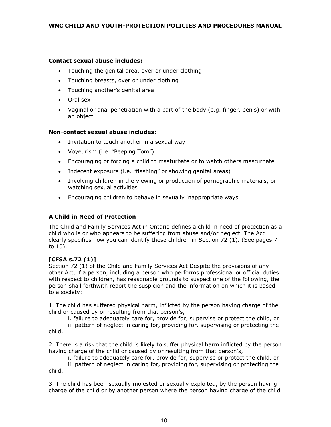#### **Contact sexual abuse includes:**

- Touching the genital area, over or under clothing
- Touching breasts, over or under clothing
- Touching another's genital area
- Oral sex
- Vaginal or anal penetration with a part of the body (e.g. finger, penis) or with an object

#### **Non-contact sexual abuse includes:**

- Invitation to touch another in a sexual way
- Voyeurism (i.e. "Peeping Tom")
- Encouraging or forcing a child to masturbate or to watch others masturbate
- Indecent exposure (i.e. "flashing" or showing genital areas)
- Involving children in the viewing or production of pornographic materials, or watching sexual activities
- Encouraging children to behave in sexually inappropriate ways

#### **A Child in Need of Protection**

The Child and Family Services Act in Ontario defines a child in need of protection as a child who is or who appears to be suffering from abuse and/or neglect. The Act clearly specifies how you can identify these children in Section 72 (1). (See pages 7 to 10).

#### **[CFSA s.72 (1)]**

<span id="page-9-0"></span>Section 72 (1) of the Child and Family Services Act Despite the provisions of any other Act, if a person, including a person who performs professional or official duties with respect to children, has reasonable grounds to suspect one of the following, the person shall forthwith report the suspicion and the information on which it is based to a society:

1. The child has suffered physical harm, inflicted by the person having charge of the child or caused by or resulting from that person's,

i. failure to adequately care for, provide for, supervise or protect the child, or

ii. pattern of neglect in caring for, providing for, supervising or protecting the child.

2. There is a risk that the child is likely to suffer physical harm inflicted by the person having charge of the child or caused by or resulting from that person's,

i. failure to adequately care for, provide for, supervise or protect the child, or

ii. pattern of neglect in caring for, providing for, supervising or protecting the child.

3. The child has been sexually molested or sexually exploited, by the person having charge of the child or by another person where the person having charge of the child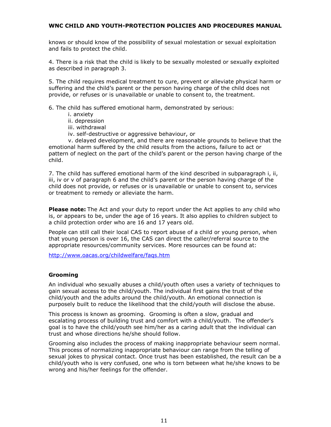knows or should know of the possibility of sexual molestation or sexual exploitation and fails to protect the child.

4. There is a risk that the child is likely to be sexually molested or sexually exploited as described in paragraph 3.

5. The child requires medical treatment to cure, prevent or alleviate physical harm or suffering and the child's parent or the person having charge of the child does not provide, or refuses or is unavailable or unable to consent to, the treatment.

6. The child has suffered emotional harm, demonstrated by serious:

- i. anxiety
- ii. depression
- iii. withdrawal
- iv. self-destructive or aggressive behaviour, or

v. delayed development, and there are reasonable grounds to believe that the emotional harm suffered by the child results from the actions, failure to act or pattern of neglect on the part of the child's parent or the person having charge of the child.

7. The child has suffered emotional harm of the kind described in subparagraph i, ii, iii, iv or v of paragraph 6 and the child's parent or the person having charge of the child does not provide, or refuses or is unavailable or unable to consent to, services or treatment to remedy or alleviate the harm.

**Please note:** The Act and your duty to report under the Act applies to any child who is, or appears to be, under the age of 16 years. It also applies to children subject to a child protection order who are 16 and 17 years old.

People can still call their [local CAS](http://www.oacas.org/childwelfare/locate.htm) to report abuse of a child or young person, when that young person is over 16, the CAS can direct the caller/referral source to the appropriate resources/community services. More resources can be found at:

<http://www.oacas.org/childwelfare/faqs.htm>

#### **Grooming**

An individual who sexually abuses a child/youth often uses a variety of techniques to gain sexual access to the child/youth. The individual first gains the trust of the child/youth and the adults around the child/youth. An emotional connection is purposely built to reduce the likelihood that the child/youth will disclose the abuse.

This process is known as grooming. Grooming is often a slow, gradual and escalating process of building trust and comfort with a child/youth. The offender's goal is to have the child/youth see him/her as a caring adult that the individual can trust and whose directions he/she should follow.

Grooming also includes the process of making inappropriate behaviour seem normal. This process of normalizing inappropriate behaviour can range from the telling of sexual jokes to physical contact. Once trust has been established, the result can be a child/youth who is very confused, one who is torn between what he/she knows to be wrong and his/her feelings for the offender.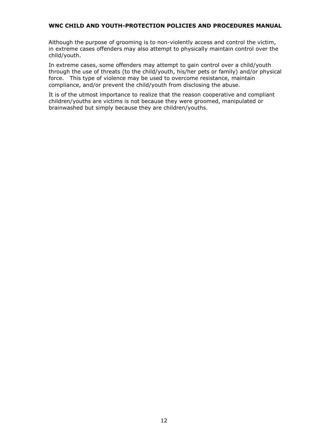Although the purpose of grooming is to non-violently access and control the victim, in extreme cases offenders may also attempt to physically maintain control over the child/youth.

In extreme cases, some offenders may attempt to gain control over a child/youth through the use of threats (to the child/youth, his/her pets or family) and/or physical force. This type of violence may be used to overcome resistance, maintain compliance, and/or prevent the child/youth from disclosing the abuse.

It is of the utmost importance to realize that the reason cooperative and compliant children/youths are victims is not because they were groomed, manipulated or brainwashed but simply because they are children/youths.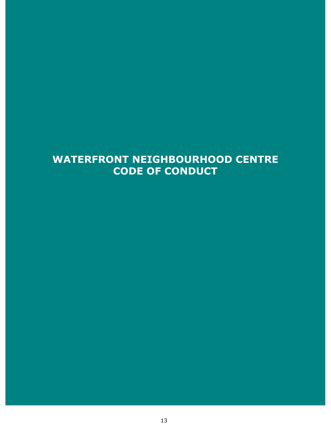## <span id="page-12-0"></span>**WATERFRONT NEIGHBOURHOOD CENTRE CODE OF CONDUCT**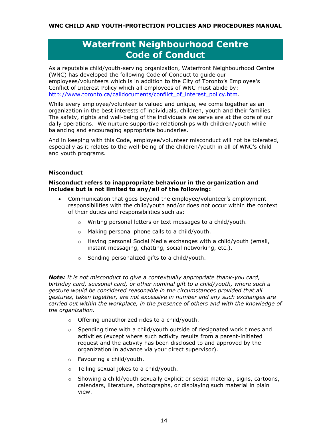## **Waterfront Neighbourhood Centre Code of Conduct**

<span id="page-13-0"></span>As a reputable child/youth-serving organization, Waterfront Neighbourhood Centre (WNC) has developed the following Code of Conduct to guide our employees/volunteers which is in addition to the City of Toronto's Employee's Conflict of Interest Policy which all employees of WNC must abide by: [http://www.toronto.ca/calldocuments/conflict\\_of\\_interest\\_policy.htm.](http://www.toronto.ca/calldocuments/conflict_of_interest_policy.htm)

While every employee/volunteer is valued and unique, we come together as an organization in the best interests of individuals, children, youth and their families. The safety, rights and well-being of the individuals we serve are at the core of our daily operations. We nurture supportive relationships with children/youth while balancing and encouraging appropriate boundaries.

And in keeping with this Code, employee/volunteer misconduct will not be tolerated, especially as it relates to the well-being of the children/youth in all of WNC's child and youth programs.

#### **Misconduct**

#### **Misconduct refers to inappropriate behaviour in the organization and includes but is not limited to any/all of the following:**

- Communication that goes beyond the employee/volunteer's employment responsibilities with the child/youth and/or does not occur within the context of their duties and responsibilities such as:
	- o Writing personal letters or text messages to a child/youth.
	- o Making personal phone calls to a child/youth.
	- $\circ$  Having personal Social Media exchanges with a child/youth (email, instant messaging, chatting, social networking, etc.).
	- o Sending personalized gifts to a child/youth.

*Note: It is not misconduct to give a contextually appropriate thank-you card, birthday card, seasonal card, or other nominal gift to a child/youth, where such a gesture would be considered reasonable in the circumstances provided that all gestures, taken together, are not excessive in number and any such exchanges are carried out within the workplace, in the presence of others and with the knowledge of the organization.*

- o Offering unauthorized rides to a child/youth.
- $\circ$  Spending time with a child/youth outside of designated work times and activities (except where such activity results from a parent-initiated request and the activity has been disclosed to and approved by the organization in advance via your direct supervisor).
- o Favouring a child/youth.
- o Telling sexual jokes to a child/youth.
- $\circ$  Showing a child/youth sexually explicit or sexist material, signs, cartoons, calendars, literature, photographs, or displaying such material in plain view.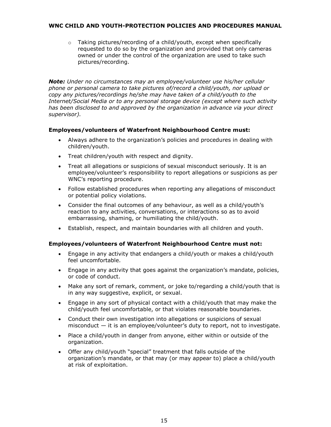$\circ$  Taking pictures/recording of a child/youth, except when specifically requested to do so by the organization and provided that only cameras owned or under the control of the organization are used to take such pictures/recording.

*Note: Under no circumstances may an employee/volunteer use his/her cellular phone or personal camera to take pictures of/record a child/youth, nor upload or copy any pictures/recordings he/she may have taken of a child/youth to the Internet/Social Media or to any personal storage device (except where such activity has been disclosed to and approved by the organization in advance via your direct supervisor).*

#### **Employees/volunteers of Waterfront Neighbourhood Centre must:**

- Always adhere to the organization's policies and procedures in dealing with children/youth.
- Treat children/youth with respect and dignity.
- Treat all allegations or suspicions of sexual misconduct seriously. It is an employee/volunteer's responsibility to report allegations or suspicions as per WNC's reporting procedure.
- Follow established procedures when reporting any allegations of misconduct or potential policy violations.
- Consider the final outcomes of any behaviour, as well as a child/youth's reaction to any activities, conversations, or interactions so as to avoid embarrassing, shaming, or humiliating the child/youth.
- Establish, respect, and maintain boundaries with all children and youth.

#### **Employees/volunteers of Waterfront Neighbourhood Centre must not:**

- Engage in any activity that endangers a child/youth or makes a child/youth feel uncomfortable.
- Engage in any activity that goes against the organization's mandate, policies, or code of conduct.
- Make any sort of remark, comment, or joke to/regarding a child/youth that is in any way suggestive, explicit, or sexual.
- Engage in any sort of physical contact with a child/youth that may make the child/youth feel uncomfortable, or that violates reasonable boundaries.
- Conduct their own investigation into allegations or suspicions of sexual misconduct  $-$  it is an employee/volunteer's duty to report, not to investigate.
- Place a child/youth in danger from anyone, either within or outside of the organization.
- Offer any child/youth "special" treatment that falls outside of the organization's mandate, or that may (or may appear to) place a child/youth at risk of exploitation.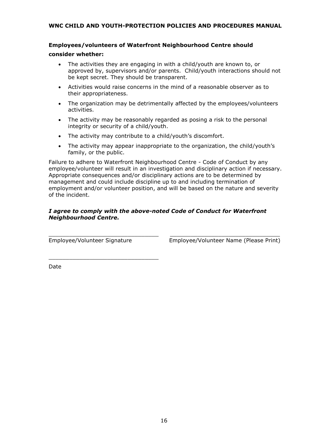#### **Employees/volunteers of Waterfront Neighbourhood Centre should**

#### **consider whether:**

- The activities they are engaging in with a child/youth are known to, or approved by, supervisors and/or parents. Child/youth interactions should not be kept secret. They should be transparent.
- Activities would raise concerns in the mind of a reasonable observer as to their appropriateness.
- The organization may be detrimentally affected by the employees/volunteers activities.
- The activity may be reasonably regarded as posing a risk to the personal integrity or security of a child/youth.
- The activity may contribute to a child/youth's discomfort.
- The activity may appear inappropriate to the organization, the child/youth's family, or the public.

Failure to adhere to Waterfront Neighbourhood Centre - Code of Conduct by any employee/volunteer will result in an investigation and disciplinary action if necessary. Appropriate consequences and/or disciplinary actions are to be determined by management and could include discipline up to and including termination of employment and/or volunteer position, and will be based on the nature and severity of the incident.

#### *I agree to comply with the above-noted Code of Conduct for Waterfront Neighbourhood Centre.*

 $\_$  , and the set of the set of the set of the set of the set of the set of the set of the set of the set of the set of the set of the set of the set of the set of the set of the set of the set of the set of the set of th

\_\_\_\_\_\_\_\_\_\_\_\_\_\_\_\_\_\_\_\_\_\_\_\_\_\_\_\_\_\_\_\_

Employee/Volunteer Signature Employee/Volunteer Name (Please Print)

Date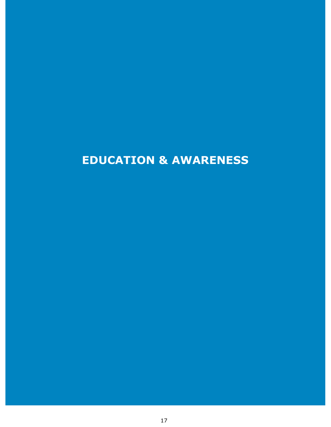# <span id="page-16-0"></span>**EDUCATION & AWARENESS**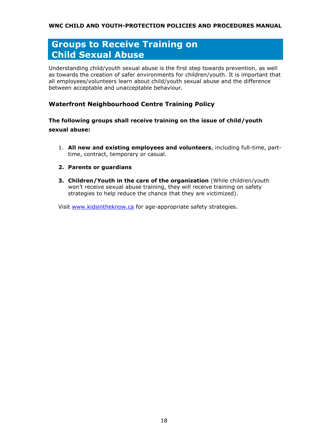## <span id="page-17-0"></span>**Groups to Receive Training on Child Sexual Abuse**

Understanding child/youth sexual abuse is the first step towards prevention, as well as towards the creation of safer environments for children/youth. It is important that all employees/volunteers learn about child/youth sexual abuse and the difference between acceptable and unacceptable behaviour.

#### <span id="page-17-1"></span>**Waterfront Neighbourhood Centre Training Policy**

#### **The following groups shall receive training on the issue of child/youth sexual abuse:**

- 1. **All new and existing employees and volunteers**, including full-time, parttime, contract, temporary or casual.
- **2. Parents or guardians**
- **3. Children/Youth in the care of the organization** (While children/youth won't receive sexual abuse training, they will receive training on safety strategies to help reduce the chance that they are victimized).

Visit [www.kidsintheknow.ca](http://www.kidsintheknow.ca/) for age-appropriate safety strategies.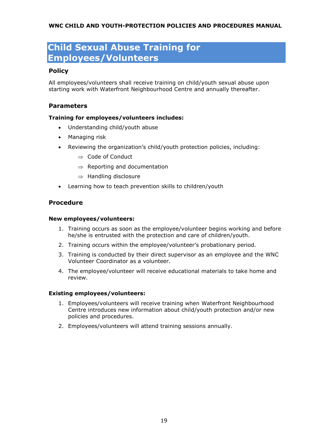## **Child Sexual Abuse Training for Employees/Volunteers**

#### **Policy**

All employees/volunteers shall receive training on child/youth sexual abuse upon starting work with Waterfront Neighbourhood Centre and annually thereafter.

#### <span id="page-18-0"></span>**Parameters**

#### **Training for employees/volunteers includes:**

- Understanding child/youth abuse
- Managing risk
- Reviewing the organization's child/youth protection policies, including:
	- $\Rightarrow$  Code of Conduct
	- $\Rightarrow$  Reporting and documentation
	- $\Rightarrow$  Handling disclosure
- Learning how to teach prevention skills to children/youth

#### <span id="page-18-1"></span>**Procedure**

#### **New employees/volunteers:**

- 1. Training occurs as soon as the employee/volunteer begins working and before he/she is entrusted with the protection and care of children/youth.
- 2. Training occurs within the employee/volunteer's probationary period.
- 3. Training is conducted by their direct supervisor as an employee and the WNC Volunteer Coordinator as a volunteer.
- 4. The employee/volunteer will receive educational materials to take home and review.

#### **Existing employees/volunteers:**

- 1. Employees/volunteers will receive training when Waterfront Neighbourhood Centre introduces new information about child/youth protection and/or new policies and procedures.
- 2. Employees/volunteers will attend training sessions annually.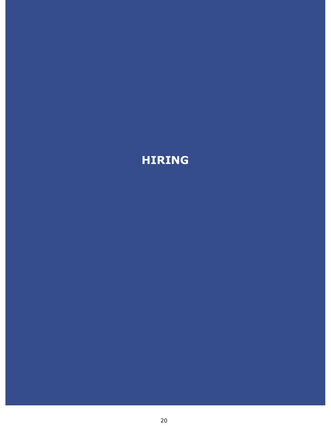# <span id="page-19-0"></span>**HIRING**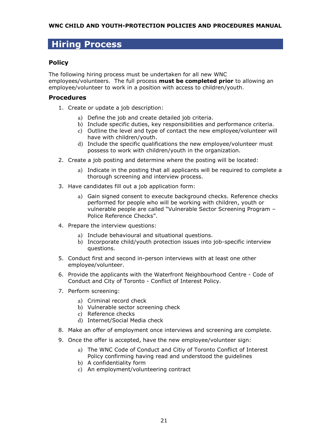### <span id="page-20-0"></span>**Hiring Process**

#### <span id="page-20-1"></span>**Policy**

The following hiring process must be undertaken for all new WNC employees/volunteers. The full process **must be completed prior** to allowing an employee/volunteer to work in a position with access to children/youth.

#### <span id="page-20-2"></span>**Procedures**

- 1. Create or update a job description:
	- a) Define the job and create detailed job criteria.
	- b) Include specific duties, key responsibilities and performance criteria.
	- c) Outline the level and type of contact the new employee/volunteer will have with children/youth.
	- d) Include the specific qualifications the new employee/volunteer must possess to work with children/youth in the organization.
- 2. Create a job posting and determine where the posting will be located:
	- a) Indicate in the posting that all applicants will be required to complete a thorough screening and interview process.
- 3. Have candidates fill out a job application form:
	- a) Gain signed consent to execute background checks. Reference checks performed for people who will be working with children, youth or vulnerable people are called "Vulnerable Sector Screening Program – Police Reference Checks".
- 4. Prepare the interview questions:
	- a) Include behavioural and situational questions.
	- b) Incorporate child/youth protection issues into job-specific interview questions.
- 5. Conduct first and second in-person interviews with at least one other employee/volunteer.
- 6. Provide the applicants with the Waterfront Neighbourhood Centre Code of Conduct and City of Toronto - Conflict of Interest Policy.
- 7. Perform screening:
	- a) Criminal record check
	- b) Vulnerable sector screening check
	- c) Reference checks
	- d) Internet/Social Media check
- 8. Make an offer of employment once interviews and screening are complete.
- 9. Once the offer is accepted, have the new employee/volunteer sign:
	- a) The WNC Code of Conduct and Citiy of Toronto Conflict of Interest Policy confirming having read and understood the guidelines
	- b) A confidentiality form
	- c) An employment/volunteering contract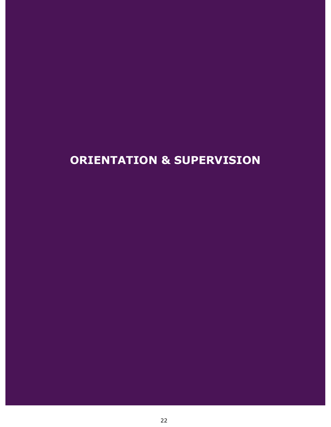# <span id="page-21-0"></span>**ORIENTATION & SUPERVISION**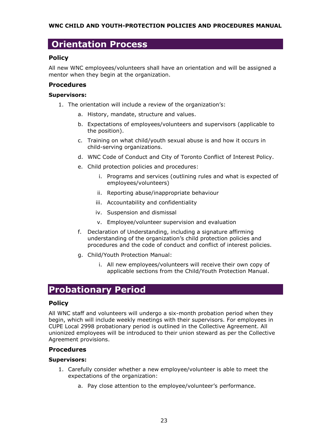### <span id="page-22-0"></span>**Orientation Process**

#### <span id="page-22-1"></span>**Policy**

All new WNC employees/volunteers shall have an orientation and will be assigned a mentor when they begin at the organization.

#### <span id="page-22-2"></span>**Procedures**

#### **Supervisors:**

- 1. The orientation will include a review of the organization's:
	- a. History, mandate, structure and values.
	- b. Expectations of employees/volunteers and supervisors (applicable to the position).
	- c. Training on what child/youth sexual abuse is and how it occurs in child-serving organizations.
	- d. WNC Code of Conduct and City of Toronto Conflict of Interest Policy.
	- e. Child protection policies and procedures:
		- i. Programs and services (outlining rules and what is expected of employees/volunteers)
		- ii. Reporting abuse/inappropriate behaviour
		- iii. Accountability and confidentiality
		- iv. Suspension and dismissal
		- v. Employee/volunteer supervision and evaluation
	- f. Declaration of Understanding, including a signature affirming understanding of the organization's child protection policies and procedures and the code of conduct and conflict of interest policies.
	- g. Child/Youth Protection Manual:
		- i. All new employees/volunteers will receive their own copy of applicable sections from the Child/Youth Protection Manual.

## <span id="page-22-3"></span>**Probationary Period**

#### <span id="page-22-4"></span>**Policy**

All WNC staff and volunteers will undergo a six-month probation period when they begin, which will include weekly meetings with their supervisors. For employees in CUPE Local 2998 probationary period is outlined in the Collective Agreement. All unionized employees will be introduced to their union steward as per the Collective Agreement provisions.

#### **Procedures**

#### **Supervisors:**

- 1. Carefully consider whether a new employee/volunteer is able to meet the expectations of the organization:
	- a. Pay close attention to the employee/volunteer's performance.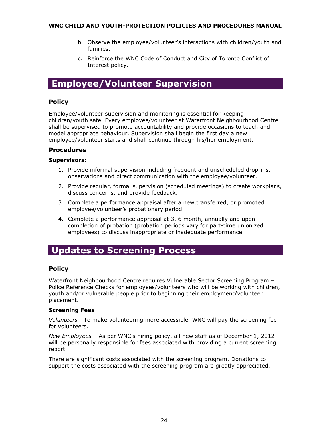- b. Observe the employee/volunteer's interactions with children/youth and families.
- c. Reinforce the WNC Code of Conduct and City of Toronto Conflict of Interest policy.

### <span id="page-23-0"></span>**Employee/Volunteer Supervision**

#### <span id="page-23-1"></span>**Policy**

Employee/volunteer supervision and monitoring is essential for keeping children/youth safe. Every employee/volunteer at Waterfront Neighbourhood Centre shall be supervised to promote accountability and provide occasions to teach and model appropriate behaviour. Supervision shall begin the first day a new employee/volunteer starts and shall continue through his/her employment.

#### <span id="page-23-2"></span>**Procedures**

#### **Supervisors:**

- 1. Provide informal supervision including frequent and unscheduled drop-ins, observations and direct communication with the employee/volunteer.
- 2. Provide regular, formal supervision (scheduled meetings) to create workplans, discuss concerns, and provide feedback.
- 3. Complete a performance appraisal after a new,transferred, or promoted employee/volunteer's probationary period.
- 4. Complete a performance appraisal at 3, 6 month, annually and upon completion of probation (probation periods vary for part-time unionized employees) to discuss inappropriate or inadequate performance

### <span id="page-23-3"></span>**Updates to Screening Process**

#### <span id="page-23-4"></span>**Policy**

Waterfront Neighbourhood Centre requires Vulnerable Sector Screening Program – Police Reference Checks for employees/volunteers who will be working with children, youth and/or vulnerable people prior to beginning their employment/volunteer placement.

#### **Screening Fees**

*Volunteers -* To make volunteering more accessible, WNC will pay the screening fee for volunteers.

*New Employees –* As per WNC's hiring policy, all new staff as of December 1, 2012 will be personally responsible for fees associated with providing a current screening report.

<span id="page-23-5"></span>There are significant costs associated with the screening program. Donations to support the costs associated with the screening program are greatly appreciated.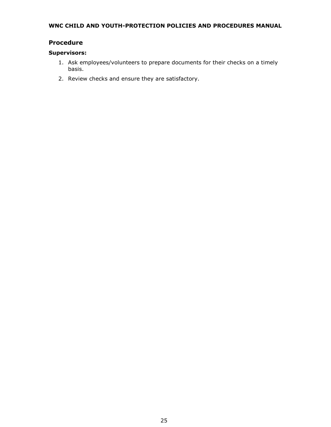#### **Procedure**

#### **Supervisors:**

- 1. Ask employees/volunteers to prepare documents for their checks on a timely basis.
- 2. Review checks and ensure they are satisfactory.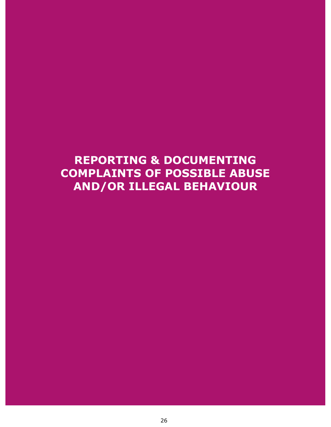# <span id="page-25-0"></span>**REPORTING & DOCUMENTING COMPLAINTS OF POSSIBLE ABUSE AND/OR ILLEGAL BEHAVIOUR**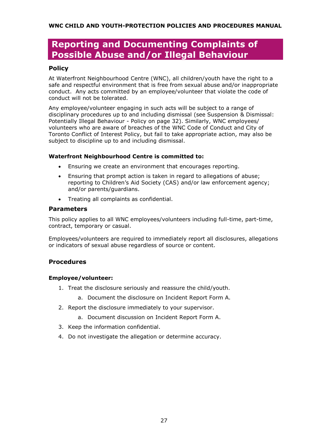### <span id="page-26-0"></span>**Reporting and Documenting Complaints of Possible Abuse and/or Illegal Behaviour**

#### <span id="page-26-1"></span>**Policy**

At Waterfront Neighbourhood Centre (WNC), all children/youth have the right to a safe and respectful environment that is free from sexual abuse and/or inappropriate conduct. Any acts committed by an employee/volunteer that violate the code of conduct will not be tolerated.

Any employee/volunteer engaging in such acts will be subject to a range of disciplinary procedures up to and including dismissal (see Suspension & Dismissal: Potentially Illegal Behaviour - Policy on page 32). Similarly, WNC employees/ volunteers who are aware of breaches of the WNC Code of Conduct and City of Toronto Conflict of Interest Policy, but fail to take appropriate action, may also be subject to discipline up to and including dismissal.

#### **Waterfront Neighbourhood Centre is committed to:**

- Ensuring we create an environment that encourages reporting.
- Ensuring that prompt action is taken in regard to allegations of abuse; reporting to Children's Aid Society (CAS) and/or law enforcement agency; and/or parents/guardians.
- Treating all complaints as confidential.

#### **Parameters**

This policy applies to all WNC employees/volunteers including full-time, part-time, contract, temporary or casual.

Employees/volunteers are required to immediately report all disclosures, allegations or indicators of sexual abuse regardless of source or content.

#### <span id="page-26-2"></span>**Procedures**

#### **Employee/volunteer:**

- 1. Treat the disclosure seriously and reassure the child/youth.
	- a. Document the disclosure on Incident Report Form A.
- 2. Report the disclosure immediately to your supervisor.
	- a. Document discussion on Incident Report Form A.
- 3. Keep the information confidential.
- 4. Do not investigate the allegation or determine accuracy.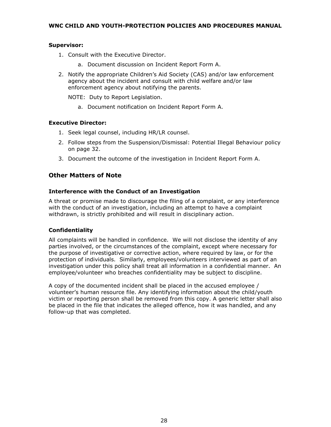#### **Supervisor:**

- 1. Consult with the Executive Director.
	- a. Document discussion on Incident Report Form A.
- 2. Notify the appropriate Children's Aid Society (CAS) and/or law enforcement agency about the incident and consult with child welfare and/or law enforcement agency about notifying the parents.

NOTE: Duty to Report Legislation.

a. Document notification on Incident Report Form A.

#### **Executive Director:**

- 1. Seek legal counsel, including HR/LR counsel.
- 2. Follow steps from the Suspension/Dismissal: Potential Illegal Behaviour policy on page 32.
- 3. Document the outcome of the investigation in Incident Report Form A.

#### <span id="page-27-0"></span>**Other Matters of Note**

#### **Interference with the Conduct of an Investigation**

A threat or promise made to discourage the filing of a complaint, or any interference with the conduct of an investigation, including an attempt to have a complaint withdrawn, is strictly prohibited and will result in disciplinary action.

#### **Confidentiality**

All complaints will be handled in confidence. We will not disclose the identity of any parties involved, or the circumstances of the complaint, except where necessary for the purpose of investigative or corrective action, where required by law, or for the protection of individuals. Similarly, employees/volunteers interviewed as part of an investigation under this policy shall treat all information in a confidential manner. An employee/volunteer who breaches confidentiality may be subject to discipline.

A copy of the documented incident shall be placed in the accused employee / volunteer's human resource file. Any identifying information about the child/youth victim or reporting person shall be removed from this copy. A generic letter shall also be placed in the file that indicates the alleged offence, how it was handled, and any follow-up that was completed.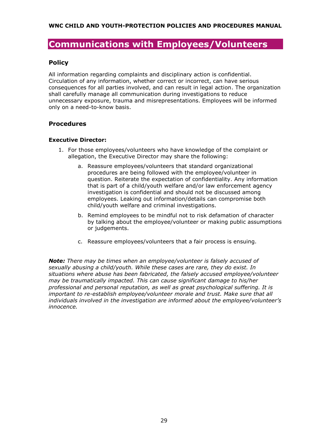### <span id="page-28-0"></span>**Communications with Employees/Volunteers**

#### <span id="page-28-1"></span>**Policy**

All information regarding complaints and disciplinary action is confidential. Circulation of any information, whether correct or incorrect, can have serious consequences for all parties involved, and can result in legal action. The organization shall carefully manage all communication during investigations to reduce unnecessary exposure, trauma and misrepresentations. Employees will be informed only on a need-to-know basis.

#### <span id="page-28-2"></span>**Procedures**

#### **Executive Director:**

- 1. For those employees/volunteers who have knowledge of the complaint or allegation, the Executive Director may share the following:
	- a. Reassure employees/volunteers that standard organizational procedures are being followed with the employee/volunteer in question. Reiterate the expectation of confidentiality. Any information that is part of a child/youth welfare and/or law enforcement agency investigation is confidential and should not be discussed among employees. Leaking out information/details can compromise both child/youth welfare and criminal investigations.
	- b. Remind employees to be mindful not to risk defamation of character by talking about the employee/volunteer or making public assumptions or judgements.
	- c. Reassure employees/volunteers that a fair process is ensuing.

*Note: There may be times when an employee/volunteer is falsely accused of sexually abusing a child/youth. While these cases are rare, they do exist. In situations where abuse has been fabricated, the falsely accused employee/volunteer may be traumatically impacted. This can cause significant damage to his/her professional and personal reputation, as well as great psychological suffering. It is*  important to re-establish employee/volunteer morale and trust. Make sure that all *individuals involved in the investigation are informed about the employee/volunteer's innocence.*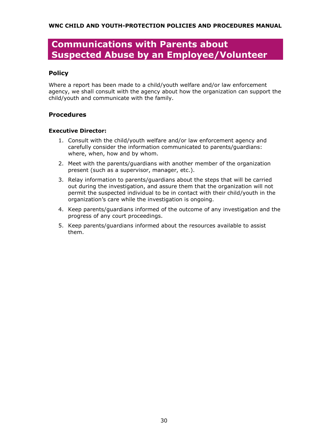## <span id="page-29-0"></span>**Communications with Parents about Suspected Abuse by an Employee/Volunteer**

#### <span id="page-29-1"></span>**Policy**

Where a report has been made to a child/youth welfare and/or law enforcement agency, we shall consult with the agency about how the organization can support the child/youth and communicate with the family.

#### <span id="page-29-2"></span>**Procedures**

#### **Executive Director:**

- 1. Consult with the child/youth welfare and/or law enforcement agency and carefully consider the information communicated to parents/guardians: where, when, how and by whom.
- 2. Meet with the parents/guardians with another member of the organization present (such as a supervisor, manager, etc.).
- 3. Relay information to parents/guardians about the steps that will be carried out during the investigation, and assure them that the organization will not permit the suspected individual to be in contact with their child/youth in the organization's care while the investigation is ongoing.
- 4. Keep parents/guardians informed of the outcome of any investigation and the progress of any court proceedings.
- 5. Keep parents/guardians informed about the resources available to assist them.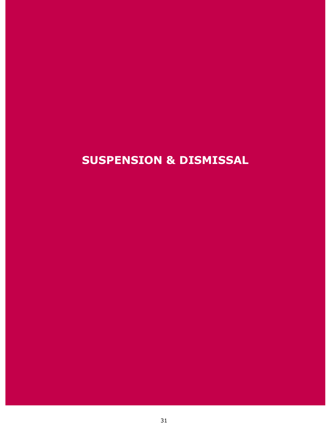# <span id="page-30-0"></span>**SUSPENSION & DISMISSAL**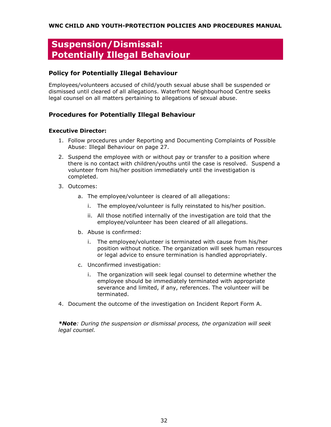## <span id="page-31-0"></span>**Suspension/Dismissal: Potentially Illegal Behaviour**

#### <span id="page-31-1"></span>**Policy for Potentially Illegal Behaviour**

Employees/volunteers accused of child/youth sexual abuse shall be suspended or dismissed until cleared of all allegations. Waterfront Neighbourhood Centre seeks legal counsel on all matters pertaining to allegations of sexual abuse.

#### <span id="page-31-2"></span>**Procedures for Potentially Illegal Behaviour**

#### **Executive Director:**

- 1. Follow procedures under Reporting and Documenting Complaints of Possible Abuse: Illegal Behaviour on page 27.
- 2. Suspend the employee with or without pay or transfer to a position where there is no contact with children/youths until the case is resolved. Suspend a volunteer from his/her position immediately until the investigation is completed.
- 3. Outcomes:
	- a. The employee/volunteer is cleared of all allegations:
		- i. The employee/volunteer is fully reinstated to his/her position.
		- ii. All those notified internally of the investigation are told that the employee/volunteer has been cleared of all allegations.
	- b. Abuse is confirmed:
		- i. The employee/volunteer is terminated with cause from his/her position without notice. The organization will seek human resources or legal advice to ensure termination is handled appropriately.
	- c. Unconfirmed investigation:
		- i. The organization will seek legal counsel to determine whether the employee should be immediately terminated with appropriate severance and limited, if any, references. The volunteer will be terminated.
- 4. Document the outcome of the investigation on Incident Report Form A.

*\*Note: During the suspension or dismissal process, the organization will seek legal counsel.*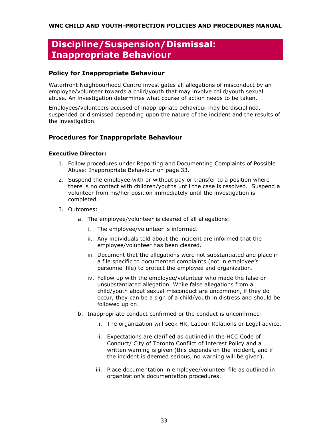## <span id="page-32-0"></span>**Discipline/Suspension/Dismissal: Inappropriate Behaviour**

#### <span id="page-32-1"></span>**Policy for Inappropriate Behaviour**

Waterfront Neighbourhood Centre investigates all allegations of misconduct by an employee/volunteer towards a child/youth that may involve child/youth sexual abuse. An investigation determines what course of action needs to be taken.

Employees/volunteers accused of inappropriate behaviour may be disciplined, suspended or dismissed depending upon the nature of the incident and the results of the investigation.

#### <span id="page-32-2"></span>**Procedures for Inappropriate Behaviour**

#### **Executive Director:**

- 1. Follow procedures under Reporting and Documenting Complaints of Possible Abuse: Inappropriate Behaviour on page 33.
- 2. Suspend the employee with or without pay or transfer to a position where there is no contact with children/youths until the case is resolved. Suspend a volunteer from his/her position immediately until the investigation is completed.
- 3. Outcomes:
	- a. The employee/volunteer is cleared of all allegations:
		- i. The employee/volunteer is informed.
		- ii. Any individuals told about the incident are informed that the employee/volunteer has been cleared.
		- iii. Document that the allegations were not substantiated and place in a file specific to documented complaints (not in employee's personnel file) to protect the employee and organization.
		- iv. Follow up with the employee/volunteer who made the false or unsubstantiated allegation. While false allegations from a child/youth about sexual misconduct are uncommon, if they do occur, they can be a sign of a child/youth in distress and should be followed up on.
	- b. Inappropriate conduct confirmed or the conduct is unconfirmed:
		- i. The organization will seek HR, Labour Relations or Legal advice.
		- ii. Expectations are clarified as outlined in the HCC Code of Conduct/ City of Toronto Conflict of Interest Policy and a written warning is given (this depends on the incident, and if the incident is deemed serious, no warning will be given).
		- iii. Place documentation in employee/volunteer file as outlined in organization's documentation procedures.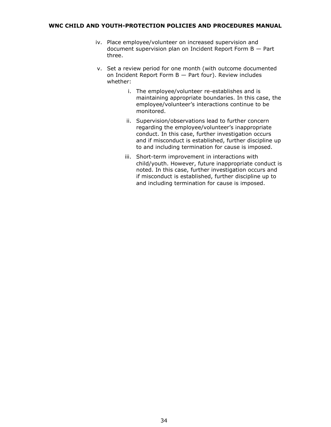- iv. Place employee/volunteer on increased supervision and document supervision plan on Incident Report Form B — Part three.
- v. Set a review period for one month (with outcome documented on Incident Report Form B — Part four). Review includes whether:
	- i. The employee/volunteer re-establishes and is maintaining appropriate boundaries. In this case, the employee/volunteer's interactions continue to be monitored.
	- ii. Supervision/observations lead to further concern regarding the employee/volunteer's inappropriate conduct. In this case, further investigation occurs and if misconduct is established, further discipline up to and including termination for cause is imposed.
	- iii. Short-term improvement in interactions with child/youth. However, future inappropriate conduct is noted. In this case, further investigation occurs and if misconduct is established, further discipline up to and including termination for cause is imposed.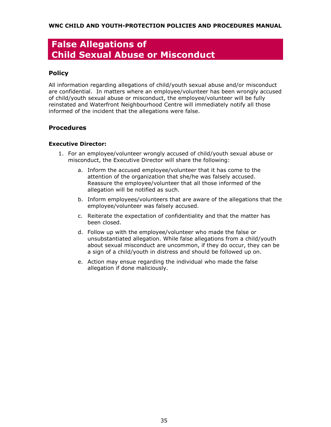## <span id="page-34-0"></span>**False Allegations of Child Sexual Abuse or Misconduct**

#### <span id="page-34-1"></span>**Policy**

All information regarding allegations of child/youth sexual abuse and/or misconduct are confidential. In matters where an employee/volunteer has been wrongly accused of child/youth sexual abuse or misconduct, the employee/volunteer will be fully reinstated and Waterfront Neighbourhood Centre will immediately notify all those informed of the incident that the allegations were false.

#### <span id="page-34-2"></span>**Procedures**

#### **Executive Director:**

- 1. For an employee/volunteer wrongly accused of child/youth sexual abuse or misconduct, the Executive Director will share the following:
	- a. Inform the accused employee/volunteer that it has come to the attention of the organization that she/he was falsely accused. Reassure the employee/volunteer that all those informed of the allegation will be notified as such.
	- b. Inform employees/volunteers that are aware of the allegations that the employee/volunteer was falsely accused.
	- c. Reiterate the expectation of confidentiality and that the matter has been closed.
	- d. Follow up with the employee/volunteer who made the false or unsubstantiated allegation. While false allegations from a child/youth about sexual misconduct are uncommon, if they do occur, they can be a sign of a child/youth in distress and should be followed up on.
	- e. Action may ensue regarding the individual who made the false allegation if done maliciously.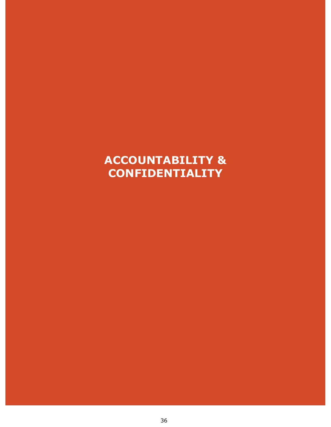# <span id="page-35-0"></span>**ACCOUNTABILITY & CONFIDENTIALITY**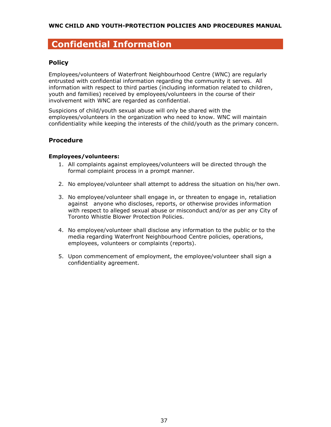### <span id="page-36-0"></span>**Confidential Information**

#### <span id="page-36-1"></span>**Policy**

Employees/volunteers of Waterfront Neighbourhood Centre (WNC) are regularly entrusted with confidential information regarding the community it serves. All information with respect to third parties (including information related to children, youth and families) received by employees/volunteers in the course of their involvement with WNC are regarded as confidential.

Suspicions of child/youth sexual abuse will only be shared with the employees/volunteers in the organization who need to know. WNC will maintain confidentiality while keeping the interests of the child/youth as the primary concern.

#### <span id="page-36-2"></span>**Procedure**

#### **Employees/volunteers:**

- 1. All complaints against employees/volunteers will be directed through the formal complaint process in a prompt manner.
- 2. No employee/volunteer shall attempt to address the situation on his/her own.
- 3. No employee/volunteer shall engage in, or threaten to engage in, retaliation against anyone who discloses, reports, or otherwise provides information with respect to alleged sexual abuse or misconduct and/or as per any City of Toronto Whistle Blower Protection Policies.
- 4. No employee/volunteer shall disclose any information to the public or to the media regarding Waterfront Neighbourhood Centre policies, operations, employees, volunteers or complaints (reports).
- 5. Upon commencement of employment, the employee/volunteer shall sign a confidentiality agreement.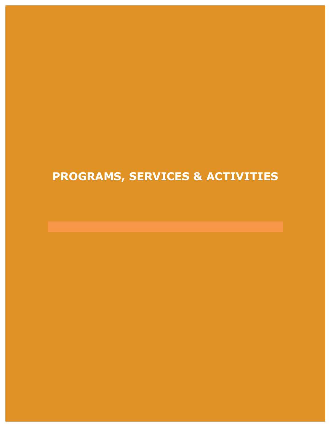# <span id="page-37-0"></span>**PROGRAMS, SERVICES & ACTIVITIES**

38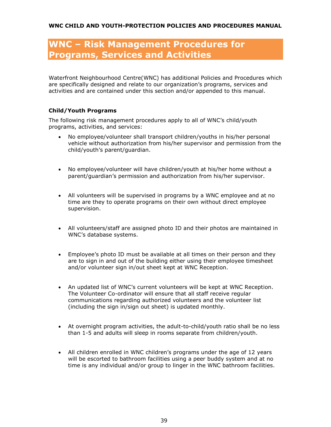## **WNC – Risk Management Procedures for Programs, Services and Activities**

Waterfront Neighbourhood Centre(WNC) has additional Policies and Procedures which are specifically designed and relate to our organization's programs, services and activities and are contained under this section and/or appended to this manual.

#### **Child/Youth Programs**

The following risk management procedures apply to all of WNC's child/youth programs, activities, and services:

- No employee/volunteer shall transport children/youths in his/her personal vehicle without authorization from his/her supervisor and permission from the child/youth's parent/guardian.
- No employee/volunteer will have children/youth at his/her home without a parent/guardian's permission and authorization from his/her supervisor.
- All volunteers will be supervised in programs by a WNC employee and at no time are they to operate programs on their own without direct employee supervision.
- All volunteers/staff are assigned photo ID and their photos are maintained in WNC's database systems.
- Employee's photo ID must be available at all times on their person and they are to sign in and out of the building either using their employee timesheet and/or volunteer sign in/out sheet kept at WNC Reception.
- An updated list of WNC's current volunteers will be kept at WNC Reception. The Volunteer Co-ordinator will ensure that all staff receive regular communications regarding authorized volunteers and the volunteer list (including the sign in/sign out sheet) is updated monthly.
- At overnight program activities, the adult-to-child/youth ratio shall be no less than 1-5 and adults will sleep in rooms separate from children/youth.
- All children enrolled in WNC children's programs under the age of 12 years will be escorted to bathroom facilities using a peer buddy system and at no time is any individual and/or group to linger in the WNC bathroom facilities.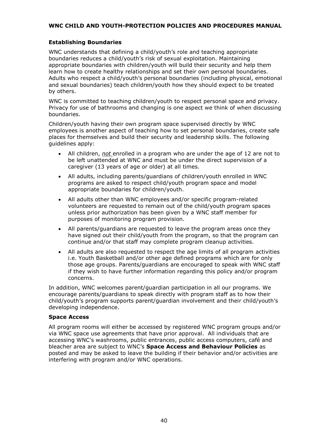#### **Establishing Boundaries**

WNC understands that defining a child/youth's role and teaching appropriate boundaries reduces a child/youth's risk of sexual exploitation. Maintaining appropriate boundaries with children/youth will build their security and help them learn how to create healthy relationships and set their own personal boundaries. Adults who respect a child/youth's personal boundaries (including physical, emotional and sexual boundaries) teach children/youth how they should expect to be treated by others.

WNC is committed to teaching children/youth to respect personal space and privacy. Privacy for use of bathrooms and changing is one aspect we think of when discussing boundaries.

Children/youth having their own program space supervised directly by WNC employees is another aspect of teaching how to set personal boundaries, create safe places for themselves and build their security and leadership skills. The following guidelines apply:

- All children, *not* enrolled in a program who are under the age of 12 are not to be left unattended at WNC and must be under the direct supervision of a caregiver (13 years of age or older) at all times.
- All adults, including parents/guardians of children/youth enrolled in WNC programs are asked to respect child/youth program space and model appropriate boundaries for children/youth.
- All adults other than WNC employees and/or specific program-related volunteers are requested to remain out of the child/youth program spaces unless prior authorization has been given by a WNC staff member for purposes of monitoring program provision.
- All parents/guardians are requested to leave the program areas once they have signed out their child/youth from the program, so that the program can continue and/or that staff may complete program cleanup activities.
- All adults are also requested to respect the age limits of all program activities i.e. Youth Basketball and/or other age defined programs which are for only those age groups. Parents/guardians are encouraged to speak with WNC staff if they wish to have further information regarding this policy and/or program concerns.

In addition, WNC welcomes parent/guardian participation in all our programs. We encourage parents/guardians to speak directly with program staff as to how their child/youth's program supports parent/guardian involvement and their child/youth's developing independence.

#### **Space Access**

All program rooms will either be accessed by registered WNC program groups and/or via WNC space use agreements that have prior approval. All individuals that are accessing WNC's washrooms, public entrances, public access computers, café and bleacher area are subject to WNC's **Space Access and Behaviour Policies** as posted and may be asked to leave the building if their behavior and/or activities are interfering with program and/or WNC operations.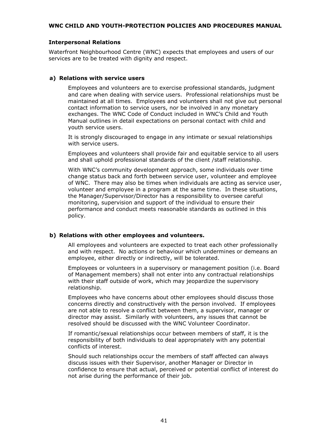#### **Interpersonal Relations**

Waterfront Neighbourhood Centre (WNC) expects that employees and users of our services are to be treated with dignity and respect.

#### **a) Relations with service users**

Employees and volunteers are to exercise professional standards, judgment and care when dealing with service users. Professional relationships must be maintained at all times. Employees and volunteers shall not give out personal contact information to service users, nor be involved in any monetary exchanges. The WNC Code of Conduct included in WNC's Child and Youth Manual outlines in detail expectations on personal contact with child and youth service users.

It is strongly discouraged to engage in any intimate or sexual relationships with service users.

Employees and volunteers shall provide fair and equitable service to all users and shall uphold professional standards of the client /staff relationship.

With WNC's community development approach, some individuals over time change status back and forth between service user, volunteer and employee of WNC. There may also be times when individuals are acting as service user, volunteer and employee in a program at the same time. In these situations, the Manager/Supervisor/Director has a responsibility to oversee careful monitoring, supervision and support of the individual to ensure their performance and conduct meets reasonable standards as outlined in this policy.

#### **b) Relations with other employees and volunteers.**

All employees and volunteers are expected to treat each other professionally and with respect. No actions or behaviour which undermines or demeans an employee, either directly or indirectly, will be tolerated.

Employees or volunteers in a supervisory or management position (i.e. Board of Management members) shall not enter into any contractual relationships with their staff outside of work, which may jeopardize the supervisory relationship.

Employees who have concerns about other employees should discuss those concerns directly and constructively with the person involved. If employees are not able to resolve a conflict between them, a supervisor, manager or director may assist. Similarly with volunteers, any issues that cannot be resolved should be discussed with the WNC Volunteer Coordinator.

If romantic/sexual relationships occur between members of staff, it is the responsibility of both individuals to deal appropriately with any potential conflicts of interest.

Should such relationships occur the members of staff affected can always discuss issues with their Supervisor, another Manager or Director in confidence to ensure that actual, perceived or potential conflict of interest do not arise during the performance of their job.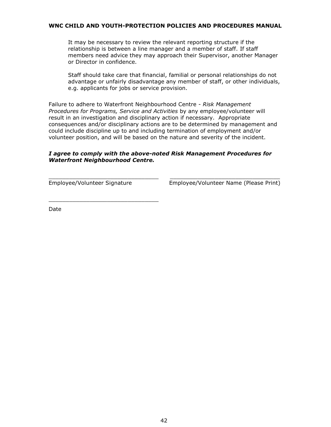It may be necessary to review the relevant reporting structure if the relationship is between a line manager and a member of staff. If staff members need advice they may approach their Supervisor, another Manager or Director in confidence.

Staff should take care that financial, familial or personal relationships do not advantage or unfairly disadvantage any member of staff, or other individuals, e.g. applicants for jobs or service provision.

Failure to adhere to Waterfront Neighbourhood Centre - *Risk Management Procedures for Programs, Service and Activities* by any employee/volunteer will result in an investigation and disciplinary action if necessary. Appropriate consequences and/or disciplinary actions are to be determined by management and could include discipline up to and including termination of employment and/or volunteer position, and will be based on the nature and severity of the incident.

#### *I agree to comply with the above-noted Risk Management Procedures for Waterfront Neighbourhood Centre.*

 $\_$  , and the set of the set of the set of the set of the set of the set of the set of the set of the set of the set of the set of the set of the set of the set of the set of the set of the set of the set of the set of th

\_\_\_\_\_\_\_\_\_\_\_\_\_\_\_\_\_\_\_\_\_\_\_\_\_\_\_\_\_\_\_\_

Employee/Volunteer Signature Employee/Volunteer Name (Please Print)

Date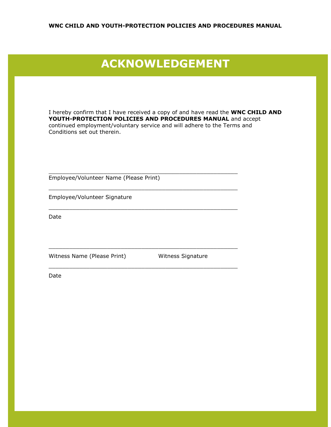## <span id="page-42-0"></span>**ACKNOWLEDGEMENT**

I hereby confirm that I have received a copy of and have read the **WNC CHILD AND YOUTH-PROTECTION POLICIES AND PROCEDURES MANUAL** and accept continued employment/voluntary service and will adhere to the Terms and Conditions set out therein.

\_\_\_\_\_\_\_\_\_\_\_\_\_\_\_\_\_\_\_\_\_\_\_\_\_\_\_\_\_\_\_\_\_\_\_\_\_\_\_\_\_\_\_\_\_\_\_\_\_\_\_\_\_\_\_

\_\_\_\_\_\_\_\_\_\_\_\_\_\_\_\_\_\_\_\_\_\_\_\_\_\_\_\_\_\_\_\_\_\_\_\_\_\_\_\_\_\_\_\_\_\_\_\_\_\_\_\_\_\_\_

\_\_\_\_\_\_\_\_\_\_\_\_\_\_\_\_\_\_\_\_\_\_\_\_\_\_\_\_\_\_\_\_\_\_\_\_\_\_\_\_\_\_\_\_\_\_\_\_\_\_\_\_\_\_\_

\_\_\_\_\_\_\_\_\_\_\_\_\_\_\_\_\_\_\_\_\_\_\_\_\_\_\_\_\_\_\_\_\_\_\_\_\_\_\_\_\_\_\_\_\_\_\_\_\_\_\_\_\_\_\_

\_\_\_\_\_\_\_\_\_\_\_\_\_\_\_\_\_\_\_\_\_\_\_\_\_\_\_\_\_\_\_\_\_\_\_\_\_\_\_\_\_\_\_\_\_\_\_\_\_\_\_\_\_\_\_

Employee/Volunteer Name (Please Print)

Employee/Volunteer Signature

Date

Witness Name (Please Print) Witness Signature

Date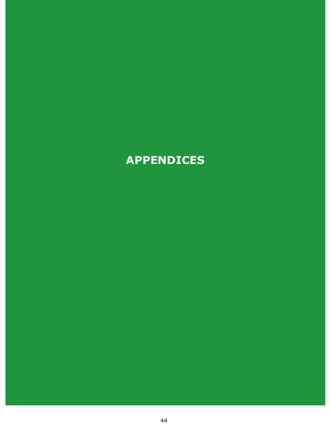# <span id="page-43-0"></span>**APPENDICES**